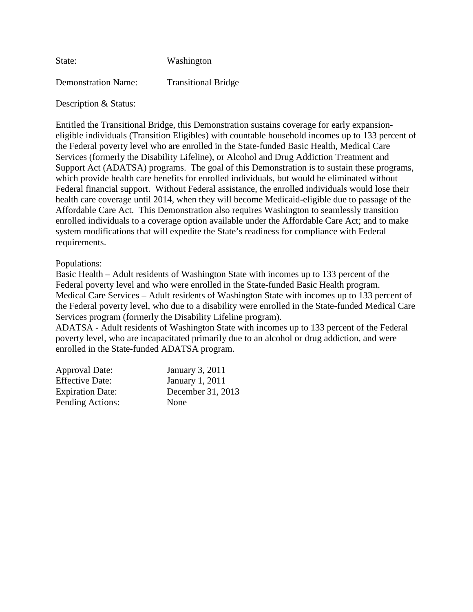| State:                     | Washington                 |
|----------------------------|----------------------------|
| <b>Demonstration Name:</b> | <b>Transitional Bridge</b> |

Description & Status:

Entitled the Transitional Bridge, this Demonstration sustains coverage for early expansioneligible individuals (Transition Eligibles) with countable household incomes up to 133 percent of the Federal poverty level who are enrolled in the State-funded Basic Health, Medical Care Services (formerly the Disability Lifeline), or Alcohol and Drug Addiction Treatment and Support Act (ADATSA) programs. The goal of this Demonstration is to sustain these programs, which provide health care benefits for enrolled individuals, but would be eliminated without Federal financial support. Without Federal assistance, the enrolled individuals would lose their health care coverage until 2014, when they will become Medicaid-eligible due to passage of the Affordable Care Act. This Demonstration also requires Washington to seamlessly transition enrolled individuals to a coverage option available under the Affordable Care Act; and to make system modifications that will expedite the State's readiness for compliance with Federal requirements.

# Populations:

Basic Health – Adult residents of Washington State with incomes up to 133 percent of the Federal poverty level and who were enrolled in the State-funded Basic Health program. Medical Care Services – Adult residents of Washington State with incomes up to 133 percent of the Federal poverty level, who due to a disability were enrolled in the State-funded Medical Care Services program (formerly the Disability Lifeline program).

ADATSA - Adult residents of Washington State with incomes up to 133 percent of the Federal poverty level, who are incapacitated primarily due to an alcohol or drug addiction, and were enrolled in the State-funded ADATSA program.

| <b>Approval Date:</b>   | January 3, 2011   |
|-------------------------|-------------------|
| <b>Effective Date:</b>  | January 1, 2011   |
| <b>Expiration Date:</b> | December 31, 2013 |
| Pending Actions:        | None              |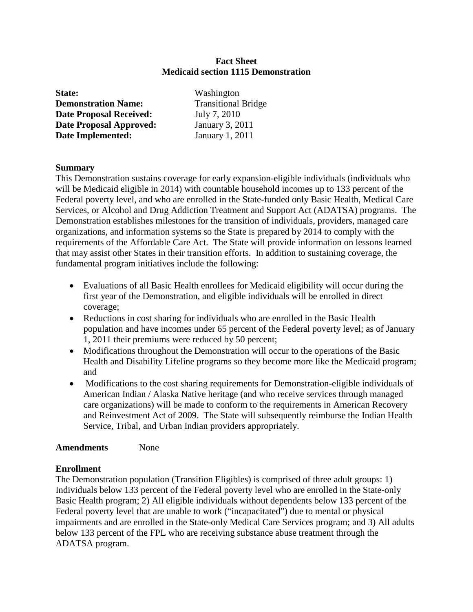## **Fact Sheet Medicaid section 1115 Demonstration**

| State:                         | Washington                 |
|--------------------------------|----------------------------|
| <b>Demonstration Name:</b>     | <b>Transitional Bridge</b> |
| <b>Date Proposal Received:</b> | July 7, 2010               |
| <b>Date Proposal Approved:</b> | January 3, 2011            |
| <b>Date Implemented:</b>       | January 1, 2011            |

## **Summary**

This Demonstration sustains coverage for early expansion-eligible individuals (individuals who will be Medicaid eligible in 2014) with countable household incomes up to 133 percent of the Federal poverty level, and who are enrolled in the State-funded only Basic Health, Medical Care Services, or Alcohol and Drug Addiction Treatment and Support Act (ADATSA) programs. The Demonstration establishes milestones for the transition of individuals, providers, managed care organizations, and information systems so the State is prepared by 2014 to comply with the requirements of the Affordable Care Act. The State will provide information on lessons learned that may assist other States in their transition efforts. In addition to sustaining coverage, the fundamental program initiatives include the following:

- Evaluations of all Basic Health enrollees for Medicaid eligibility will occur during the first year of the Demonstration, and eligible individuals will be enrolled in direct coverage;
- Reductions in cost sharing for individuals who are enrolled in the Basic Health population and have incomes under 65 percent of the Federal poverty level; as of January 1, 2011 their premiums were reduced by 50 percent;
- Modifications throughout the Demonstration will occur to the operations of the Basic Health and Disability Lifeline programs so they become more like the Medicaid program; and
- Modifications to the cost sharing requirements for Demonstration-eligible individuals of American Indian / Alaska Native heritage (and who receive services through managed care organizations) will be made to conform to the requirements in American Recovery and Reinvestment Act of 2009. The State will subsequently reimburse the Indian Health Service, Tribal, and Urban Indian providers appropriately.

## **Amendments** None

## **Enrollment**

The Demonstration population (Transition Eligibles) is comprised of three adult groups: 1) Individuals below 133 percent of the Federal poverty level who are enrolled in the State-only Basic Health program; 2) All eligible individuals without dependents below 133 percent of the Federal poverty level that are unable to work ("incapacitated") due to mental or physical impairments and are enrolled in the State-only Medical Care Services program; and 3) All adults below 133 percent of the FPL who are receiving substance abuse treatment through the ADATSA program.